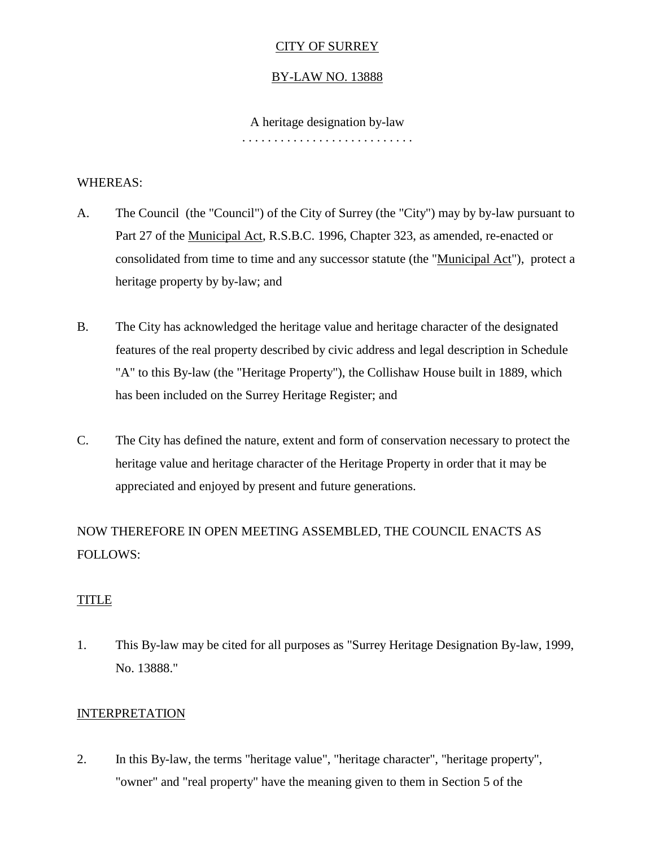# CITY OF SURREY

# BY-LAW NO. 13888

#### A heritage designation by-law

. . . . . . . . . . . . . . . . . . . . . . . . . . .

#### WHEREAS:

- A. The Council (the "Council") of the City of Surrey (the "City") may by by-law pursuant to Part 27 of the Municipal Act, R.S.B.C. 1996, Chapter 323, as amended, re-enacted or consolidated from time to time and any successor statute (the "Municipal Act"), protect a heritage property by by-law; and
- B. The City has acknowledged the heritage value and heritage character of the designated features of the real property described by civic address and legal description in Schedule "A" to this By-law (the "Heritage Property"), the Collishaw House built in 1889, which has been included on the Surrey Heritage Register; and
- C. The City has defined the nature, extent and form of conservation necessary to protect the heritage value and heritage character of the Heritage Property in order that it may be appreciated and enjoyed by present and future generations.

NOW THEREFORE IN OPEN MEETING ASSEMBLED, THE COUNCIL ENACTS AS FOLLOWS:

# TITLE

1. This By-law may be cited for all purposes as "Surrey Heritage Designation By-law, 1999, No. 13888."

# **INTERPRETATION**

2. In this By-law, the terms "heritage value", "heritage character", "heritage property", "owner" and "real property" have the meaning given to them in Section 5 of the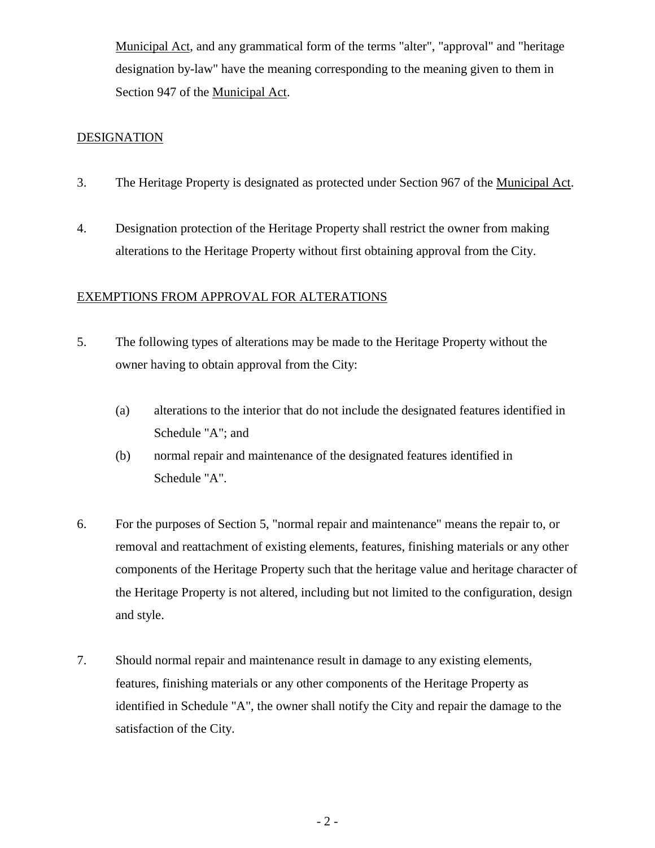Municipal Act, and any grammatical form of the terms "alter", "approval" and "heritage designation by-law" have the meaning corresponding to the meaning given to them in Section 947 of the Municipal Act.

# **DESIGNATION**

- 3. The Heritage Property is designated as protected under Section 967 of the Municipal Act.
- 4. Designation protection of the Heritage Property shall restrict the owner from making alterations to the Heritage Property without first obtaining approval from the City.

#### EXEMPTIONS FROM APPROVAL FOR ALTERATIONS

- 5. The following types of alterations may be made to the Heritage Property without the owner having to obtain approval from the City:
	- (a) alterations to the interior that do not include the designated features identified in Schedule "A"; and
	- (b) normal repair and maintenance of the designated features identified in Schedule "A".
- 6. For the purposes of Section 5, "normal repair and maintenance" means the repair to, or removal and reattachment of existing elements, features, finishing materials or any other components of the Heritage Property such that the heritage value and heritage character of the Heritage Property is not altered, including but not limited to the configuration, design and style.
- 7. Should normal repair and maintenance result in damage to any existing elements, features, finishing materials or any other components of the Heritage Property as identified in Schedule "A", the owner shall notify the City and repair the damage to the satisfaction of the City.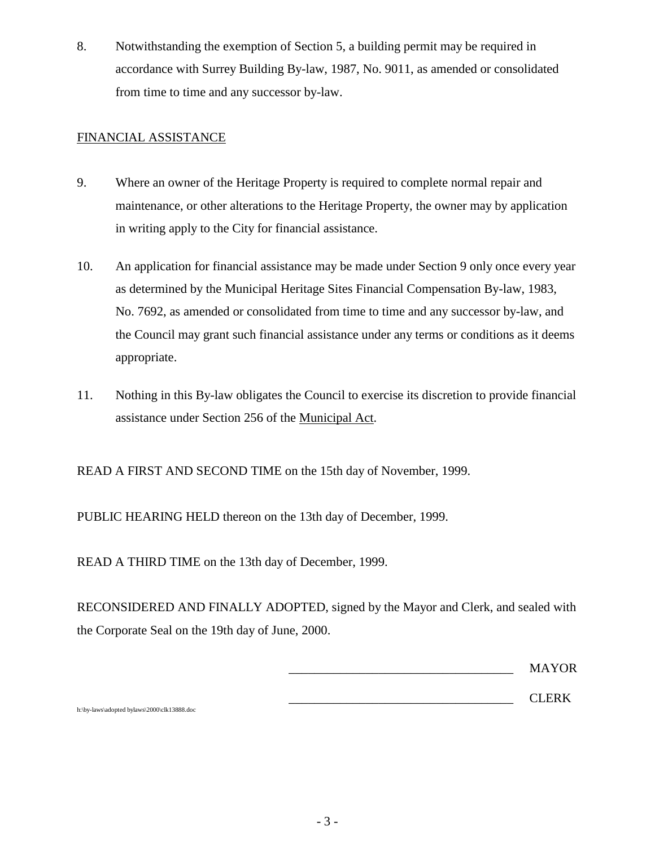8. Notwithstanding the exemption of Section 5, a building permit may be required in accordance with Surrey Building By-law, 1987, No. 9011, as amended or consolidated from time to time and any successor by-law.

# FINANCIAL ASSISTANCE

- 9. Where an owner of the Heritage Property is required to complete normal repair and maintenance, or other alterations to the Heritage Property, the owner may by application in writing apply to the City for financial assistance.
- 10. An application for financial assistance may be made under Section 9 only once every year as determined by the Municipal Heritage Sites Financial Compensation By-law, 1983, No. 7692, as amended or consolidated from time to time and any successor by-law, and the Council may grant such financial assistance under any terms or conditions as it deems appropriate.
- 11. Nothing in this By-law obligates the Council to exercise its discretion to provide financial assistance under Section 256 of the Municipal Act.

READ A FIRST AND SECOND TIME on the 15th day of November, 1999.

PUBLIC HEARING HELD thereon on the 13th day of December, 1999.

READ A THIRD TIME on the 13th day of December, 1999.

RECONSIDERED AND FINALLY ADOPTED, signed by the Mayor and Clerk, and sealed with the Corporate Seal on the 19th day of June, 2000.

|  |  | <b>MAYOR</b> |
|--|--|--------------|
|  |  | $C$ I FRK    |

h:\by-laws\adopted bylaws\2000\clk13888.doc